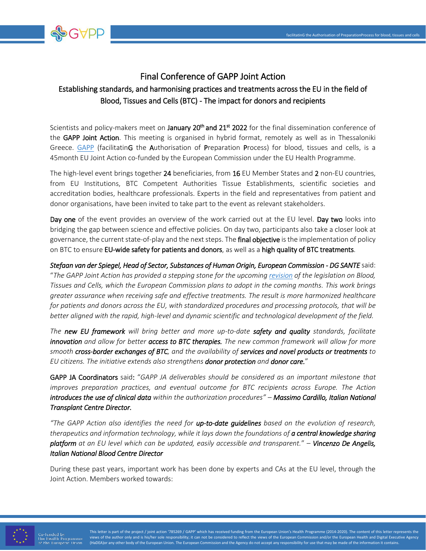

## Final Conference of GAPP Joint Action Establishing standards, and harmonising practices and treatments across the EU in the field of Blood, Tissues and Cells (BTC) - The impact for donors and recipients

Scientists and policy-makers meet on January 20<sup>th</sup> and 21<sup>st</sup> 2022 for the final dissemination conference of the GAPP Joint Action. This meeting is organised in hybrid format, remotely as well as in Thessaloniki Greece. [GAPP](http://www.gapp-ja.eu/) (facilitatinG the Authorisation of Preparation Process) for blood, tissues and cells, is a 45month EU Joint Action co-funded by the European Commission under the EU Health Programme.

The high-level event brings together 24 beneficiaries, from 16 EU Member States and 2 non-EU countries, from EU Institutions, BTC Competent Authorities Tissue Establishments, scientific societies and accreditation bodies, healthcare professionals. Experts in the field and representatives from patient and donor organisations, have been invited to take part to the event as relevant stakeholders.

Day one of the event provides an overview of the work carried out at the EU level. Day two looks into bridging the gap between science and effective policies. On day two, participants also take a closer look at governance, the current state-of-play and the next steps. The **final objective** is the implementation of policy on BTC to ensure EU-wide safety for patients and donors, as well as a high quality of BTC treatments.

*Stefaan van der Spiegel, Head of Sector, Substances of Human Origin, European Commission - DG SANTE* said: "*The GAPP Joint Action has provided a stepping stone for the upcomin[g revision](https://ec.europa.eu/info/law/better-regulation/have-your-say/initiatives/12734-Blood-tissues-and-cells-for-medical-treatments-&-therapies-revised-EU-rules_en) of the legislation on Blood, Tissues and Cells, which the European Commission plans to adopt in the coming months. This work brings greater assurance when receiving safe and effective treatments. The result is more harmonized healthcare for patients and donors across the EU, with standardized procedures and processing protocols, that will be better aligned with the rapid, high-level and dynamic scientific and technological development of the field.*

*The new EU framework will bring better and more up-to-date safety and quality standards, facilitate innovation and allow for better access to BTC therapies. The new common framework will allow for more smooth cross-border exchanges of BTC, and the availability of services and novel products or treatments to EU citizens. The initiative extends also strengthens donor protection and donor care.*"

GAPP JA Coordinators said: "*GAPP JA deliverables should be considered as an important milestone that improves preparation practices, and eventual outcome for BTC recipients across Europe. The Action introduces the use of clinical data within the authorization procedures" – Massimo Cardillo, Italian National Transplant Centre Director.* 

*"The GAPP Action also identifies the need for up-to-date guidelines based on the evolution of research, therapeutics and information technology, while it lays down the foundations of a central knowledge sharing platform at an EU level which can be updated, easily accessible and transparent.*" – *Vincenzo De Angelis, Italian National Blood Centre Director* 

During these past years, important work has been done by experts and CAs at the EU level, through the Joint Action. Members worked towards:



This letter is part of the project / joint action '785269 / GAPP' which has received funding from the European Union's Health Programme (2014-2020). The content of this letter represents the views of the author only and is his/her sole responsibility; it can not be considered to reflect the views of the European Commission and/or the European Health and Digital Executive Agency (HaDEA)or any other body of the European Union. The European Commission and the Agency do not accept any responsibility for use that may be made of the information it contains.